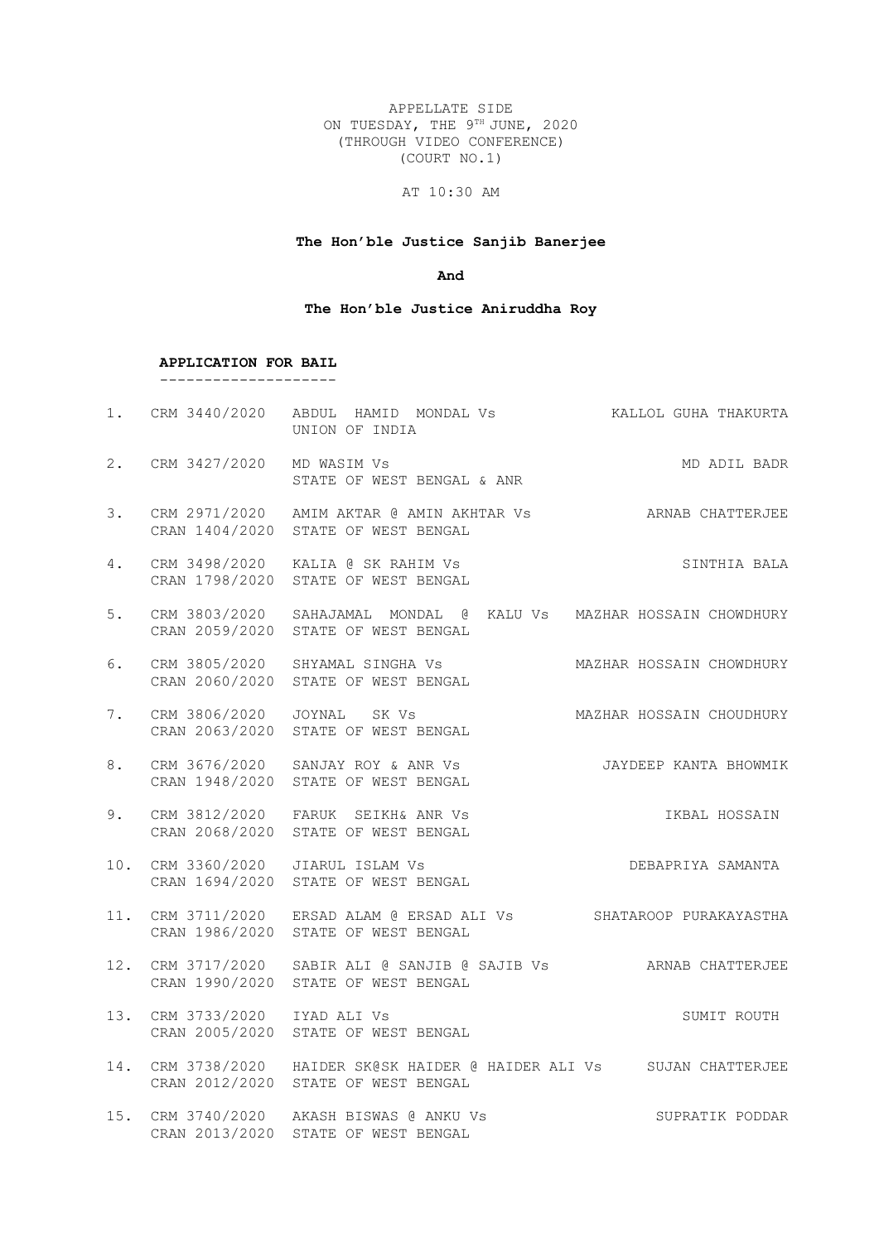APPELLATE SIDE ON TUESDAY, THE 9TH JUNE, 2020 (THROUGH VIDEO CONFERENCE) (COURT NO.1)

# AT 10:30 AM

## **The Hon'ble Justice Sanjib Banerjee**

## **And**

## **The Hon'ble Justice Aniruddha Roy**

**APPLICATION FOR BAIL**

--------------------

|    |                               | 1. CRM 3440/2020 ABDUL HAMID MONDAL Vs ALLOL GUHA THAKURTA<br>UNION OF INDIA                                  |                       |
|----|-------------------------------|---------------------------------------------------------------------------------------------------------------|-----------------------|
|    | 2. CRM 3427/2020 MD WASIM Vs  | STATE OF WEST BENGAL & ANR                                                                                    | MD ADIL BADR          |
| 3. |                               | CRM 2971/2020 AMIM AKTAR @ AMIN AKHTAR Vs ARNAB CHATTERJEE<br>CRAN 1404/2020 STATE OF WEST BENGAL             |                       |
| 4. |                               | CRM 3498/2020 KALIA @ SK RAHIM Vs<br>CRAN 1798/2020 STATE OF WEST BENGAL                                      | SINTHIA BALA          |
| 5. |                               | CRM 3803/2020 SAHAJAMAL MONDAL @ KALU Vs MAZHAR HOSSAIN CHOWDHURY<br>CRAN 2059/2020 STATE OF WEST BENGAL      |                       |
| 6. |                               | CRM 3805/2020 SHYAMAL SINGHA VS           MAZHAR HOSSAIN CHOWDHURY CRAN 2060/2020 STATE OF WEST BENGAL        |                       |
| 7. |                               | CRM 3806/2020 JOYNAL SK Vs<br>CRAN 2063/2020 STATE OF WEST BENGAL MAZHAR HOSSAIN CHOUDHURY                    |                       |
| 8. |                               | CRM 3676/2020 SANJAY ROY & ANR Vs<br>CRAN 1948/2020 STATE OF WEST BENGAL                                      | JAYDEEP KANTA BHOWMIK |
| 9. |                               | CRM 3812/2020 FARUK SEIKH& ANR Vs<br>CRAN 2068/2020 STATE OF WEST BENGAL                                      | IKBAL HOSSAIN         |
|    |                               | 10. CRM 3360/2020 JIARUL ISLAM Vs<br>CRAN 1694/2020 STATE OF WEST BENGAL                                      | DEBAPRIYA SAMANTA     |
|    |                               | 11. CRM 3711/2020 ERSAD ALAM @ ERSAD ALI Vs SHATAROOP PURAKAYASTHA<br>CRAN 1986/2020 STATE OF WEST BENGAL     |                       |
|    |                               | 12. CRM 3717/2020 SABIR ALI @ SANJIB @ SAJIB Vs ARNAB CHATTERJEE<br>CRAN 1990/2020 STATE OF WEST BENGAL       |                       |
|    | 13. CRM 3733/2020 IYAD ALI Vs | CRAN 2005/2020 STATE OF WEST BENGAL                                                                           | SUMIT ROUTH           |
|    |                               | 14. CRM 3738/2020 HAIDER SK@SK HAIDER @ HAIDER ALI Vs SUJAN CHATTERJEE<br>CRAN 2012/2020 STATE OF WEST BENGAL |                       |
|    |                               | 15. CRM 3740/2020 AKASH BISWAS @ ANKU Vs<br>CRAN 2013/2020 STATE OF WEST BENGAL                               | SUPRATIK PODDAR       |
|    |                               |                                                                                                               |                       |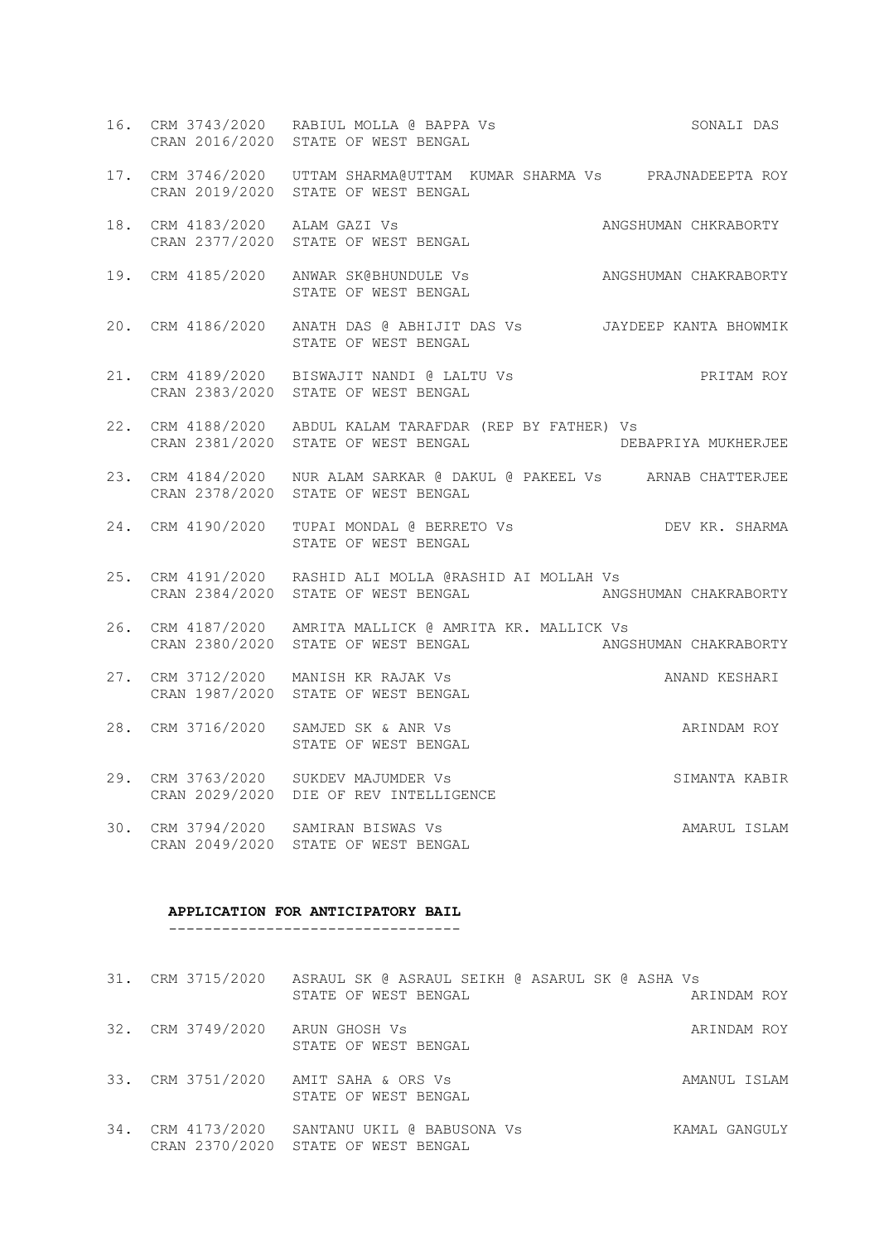- 16. CRM 3743/2020 RABIUL MOLLA @ BAPPA Vs SONALI DAS CRAN 2016/2020 STATE OF WEST BENGAL
- 17. CRM 3746/2020 UTTAM SHARMA@UTTAM KUMAR SHARMA Vs PRAJNADEEPTA ROY CRAN 2019/2020 STATE OF WEST BENGAL
- 18. CRM 4183/2020 ALAM GAZI Vs ANGSHUMAN CHKRABORTY CRAN 2377/2020 STATE OF WEST BENGAL
- 19. CRM 4185/2020 ANWAR SK@BHUNDULE Vs ANGSHUMAN CHAKRABORTY STATE OF WEST BENGAL
- 20. CRM 4186/2020 ANATH DAS @ ABHIJIT DAS Vs JAYDEEP KANTA BHOWMIK STATE OF WEST BENGAL
- 21. CRM 4189/2020 BISWAJIT NANDI @ LALTU Vs PRITAM ROY CRAN 2383/2020 STATE OF WEST BENGAL
- 22. CRM 4188/2020 ABDUL KALAM TARAFDAR (REP BY FATHER) Vs CRAN 2381/2020 STATE OF WEST BENGAL DEBAPRIYA MUKHERJEE
- 23. CRM 4184/2020 NUR ALAM SARKAR @ DAKUL @ PAKEEL Vs ARNAB CHATTERJEE CRAN 2378/2020 STATE OF WEST BENGAL
- 24. CRM 4190/2020 TUPAI MONDAL @ BERRETO Vs DEV KR. SHARMA STATE OF WEST BENGAL
- 25. CRM 4191/2020 RASHID ALI MOLLA @RASHID AI MOLLAH Vs CRAN 2384/2020 STATE OF WEST BENGAL ANGSHUMAN CHAKRABORTY
- 26. CRM 4187/2020 AMRITA MALLICK @ AMRITA KR. MALLICK Vs CRAN 2380/2020 STATE OF WEST BENGAL ANGSHUMAN CHAKRABORTY
- 27. CRM 3712/2020 MANISH KR RAJAK Vs ANAND KESHARI CRAN 1987/2020 STATE OF WEST BENGAL
- 28. CRM 3716/2020 SAMJED SK & ANR Vs ARE ARE ARINDAM ROY STATE OF WEST BENGAL
- 29. CRM 3763/2020 SUKDEV MAJUMDER Vs SIMANTA KABIR CRAN 2029/2020 DIE OF REV INTELLIGENCE
- 30. CRM 3794/2020 SAMIRAN BISWAS Vs AMARUL ISLAM CRAN 2049/2020 STATE OF WEST BENGAL

#### **APPLICATION FOR ANTICIPATORY BAIL** ---------------------------------

31. CRM 3715/2020 ASRAUL SK @ ASRAUL SEIKH @ ASARUL SK @ ASHA Vs STATE OF WEST BENGAL ARINDAM ROY 32. CRM 3749/2020 ARUN GHOSH Vs ARINDAM ROY STATE OF WEST BENGAL 33. CRM 3751/2020 AMIT SAHA & ORS Vs AMANUL ISLAM STATE OF WEST BENGAL

34. CRM 4173/2020 SANTANU UKIL @ BABUSONA Vs KAMAL GANGULY CRAN 2370/2020 STATE OF WEST BENGAL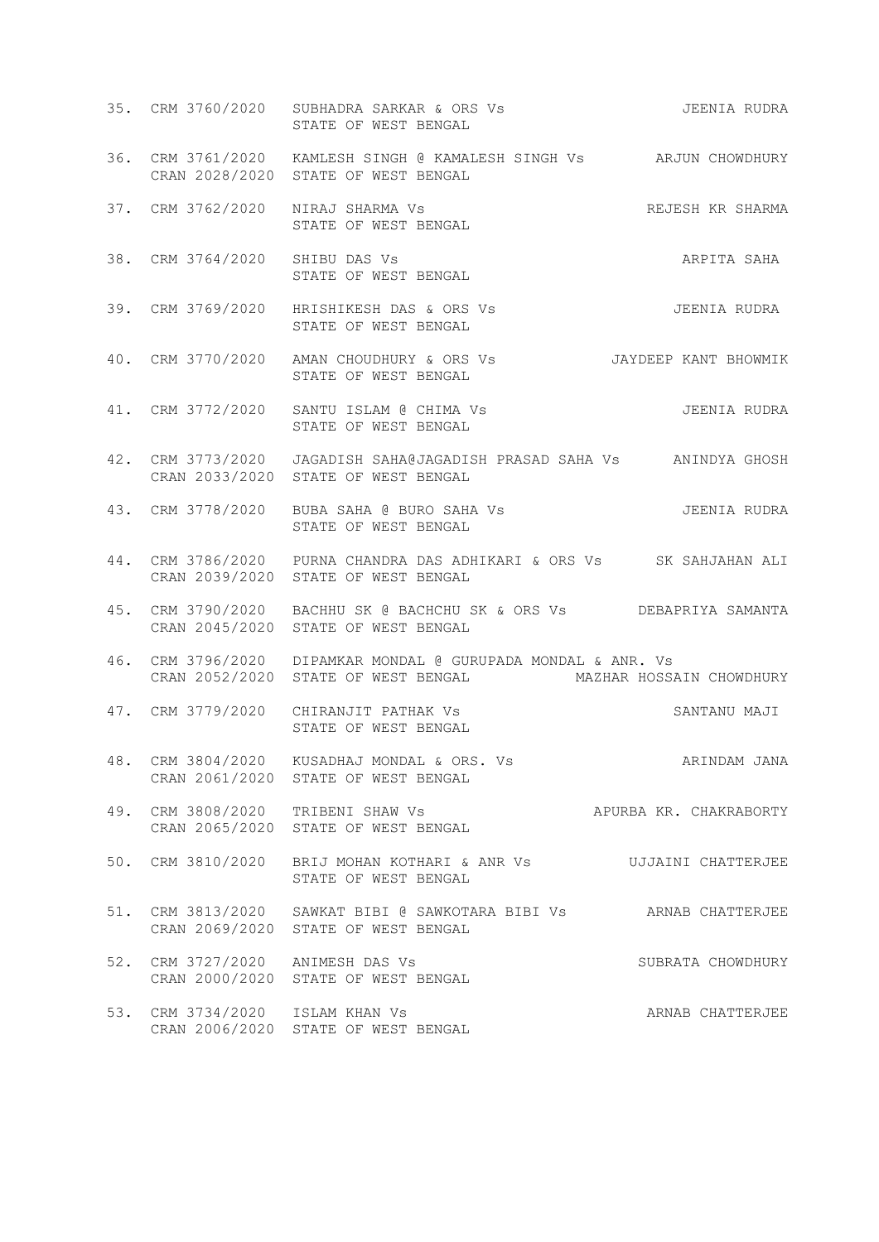|     |                                  | 35. CRM 3760/2020 SUBHADRA SARKAR & ORS Vs SARKAR SARKAR SONG THE SUBRA<br>STATE OF WEST BENGAL                               |                        |
|-----|----------------------------------|-------------------------------------------------------------------------------------------------------------------------------|------------------------|
|     |                                  | 36. CRM 3761/2020 KAMLESH SINGH @ KAMALESH SINGH Vs ARJUN CHOWDHURY<br>CRAN 2028/2020 STATE OF WEST BENGAL                    |                        |
|     |                                  | 37. CRM 3762/2020 NIRAJ SHARMA Vs<br>STATE OF WEST BENGAL<br>STATE OF WEST BENGAL                                             | REJESH KR SHARMA       |
|     | 38. CRM 3764/2020 SHIBU DAS Vs   | STATE OF WEST BENGAL                                                                                                          | ARPITA SAHA            |
|     |                                  | 39. CRM 3769/2020 HRISHIKESH DAS & ORS Vs<br>STATE OF WEST BENGAL                                                             | JEENIA RUDRA           |
|     |                                  | 40. CRM 3770/2020 AMAN CHOUDHURY & ORS Vs JAYDEEP KANT BHOWMIK<br>STATE OF WEST BENGAL                                        |                        |
|     |                                  | 41. CRM 3772/2020 SANTU ISLAM @ CHIMA Vs<br>STATE OF WEST BENGAL                                                              | JEENIA RUDRA           |
|     |                                  | 42. CRM 3773/2020 JAGADISH SAHA@JAGADISH PRASAD SAHA Vs ANINDYA GHOSH<br>CRAN 2033/2020 STATE OF WEST BENGAL                  |                        |
|     |                                  | STATE OF WEST BENGAL                                                                                                          |                        |
|     |                                  | 44. CRM 3786/2020 PURNA CHANDRA DAS ADHIKARI & ORS Vs SK SAHJAHAN ALI<br>CRAN 2039/2020 STATE OF WEST BENGAL                  |                        |
|     |                                  | 45. CRM 3790/2020 BACHHU SK @ BACHCHU SK & ORS Vs DEBAPRIYA SAMANTA<br>CRAN 2045/2020 STATE OF WEST BENGAL                    |                        |
|     |                                  | 46. CRM 3796/2020 DIPAMKAR MONDAL @ GURUPADA MONDAL & ANR. Vs<br>CRAN 2052/2020 STATE OF WEST BENGAL MAZHAR HOSSAIN CHOWDHURY |                        |
|     |                                  | 47. CRM 3779/2020 CHIRANJIT PATHAK Vs<br>STATE OF WEST BENGAL<br>STATE OF WEST BENGAL                                         | SANTANU MAJI           |
| 48. |                                  | CRM 3804/2020 KUSADHAJ MONDAL & ORS. Vs<br>CRAN 2061/2020 STATE OF WEST BENGAL                                                | ARINDAM JANA           |
|     |                                  | 49. CRM 3808/2020 TRIBENI SHAW Vs<br>CRAN 2065/2020 STATE OF WEST BENGAL                                                      | APURBA KR. CHAKRABORTY |
|     |                                  | 50. CRM 3810/2020 BRIJ MOHAN KOTHARI & ANR Vs  UJJAINI CHATTERJEE<br>STATE OF WEST BENGAL                                     |                        |
|     |                                  | 51. CRM 3813/2020 SAWKAT BIBI @ SAWKOTARA BIBI Vs ARNAB CHATTERJEE<br>CRAN 2069/2020 STATE OF WEST BENGAL                     |                        |
|     | 52. CRM 3727/2020 ANIMESH DAS Vs | CRAN 2000/2020 STATE OF WEST BENGAL                                                                                           | SUBRATA CHOWDHURY      |
|     | 53. CRM 3734/2020 ISLAM KHAN Vs  | CRAN 2006/2020 STATE OF WEST BENGAL                                                                                           | ARNAB CHATTERJEE       |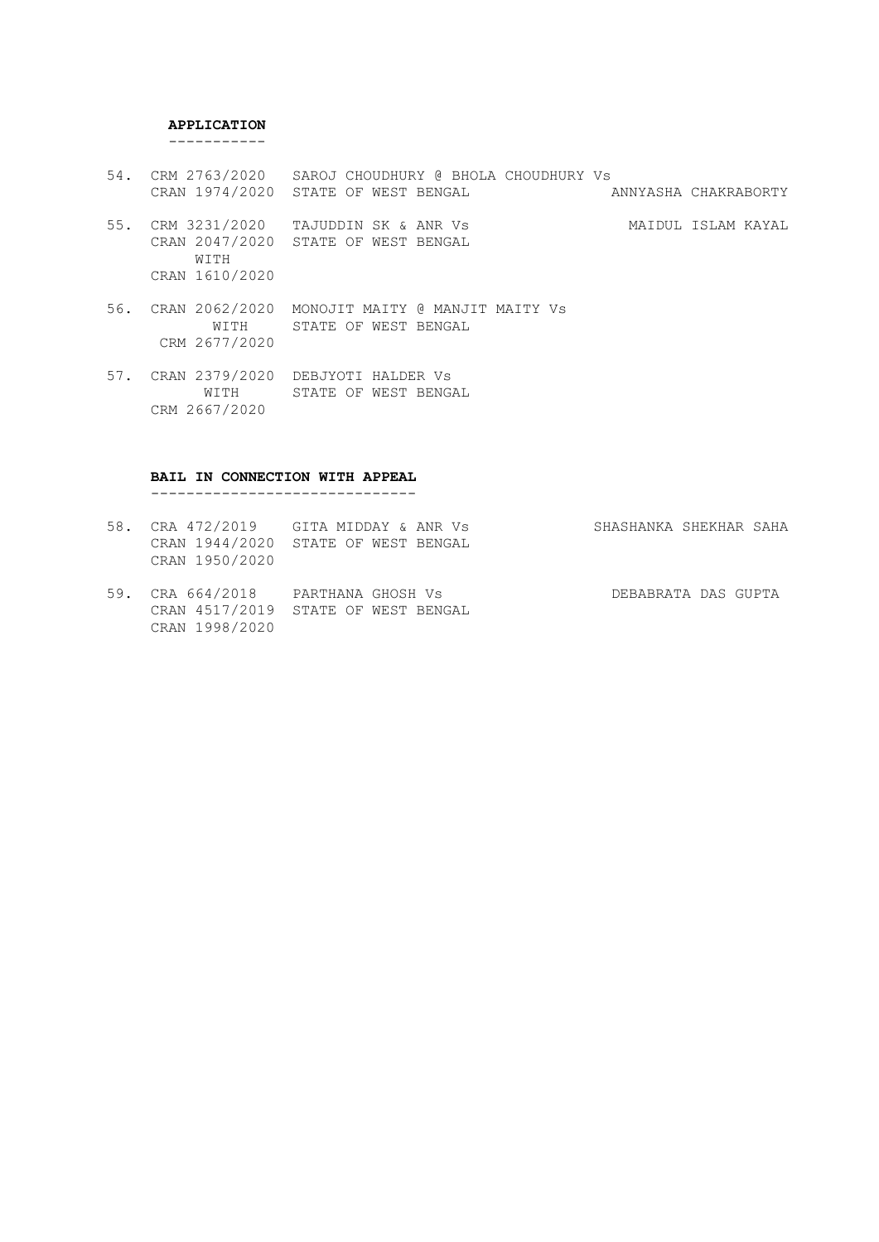#### **APPLICATION**

-----------

- 54. CRM 2763/2020 SAROJ CHOUDHURY @ BHOLA CHOUDHURY Vs<br>CRAN 1974/2020 STATE OF WEST BENGAL ANNYASHA CHAKRABORTY CRAN 1974/2020 STATE OF WEST BENGAL
- 55. CRM 3231/2020 TAJUDDIN SK & ANR Vs MAIDUL ISLAM KAYAL CRAN 2047/2020 STATE OF WEST BENGAL WITH CRAN 1610/2020
- 56. CRAN 2062/2020 MONOJIT MAITY @ MANJIT MAITY Vs WITH STATE OF WEST BENGAL CRM 2677/2020
- 57. CRAN 2379/2020 DEBJYOTI HALDER Vs WITH STATE OF WEST BENGAL CRM 2667/2020

#### **BAIL IN CONNECTION WITH APPEAL**

------------------------------

- 58. CRA 472/2019 GITA MIDDAY & ANR Vs SHASHANKA SHEKHAR SAHA CRAN 1944/2020 STATE OF WEST BENGAL CRAN 1950/2020 59. CRA 664/2018 PARTHANA GHOSH Vs DEBABRATA DAS GUPTA
- CRAN 4517/2019 STATE OF WEST BENGAL CRAN 1998/2020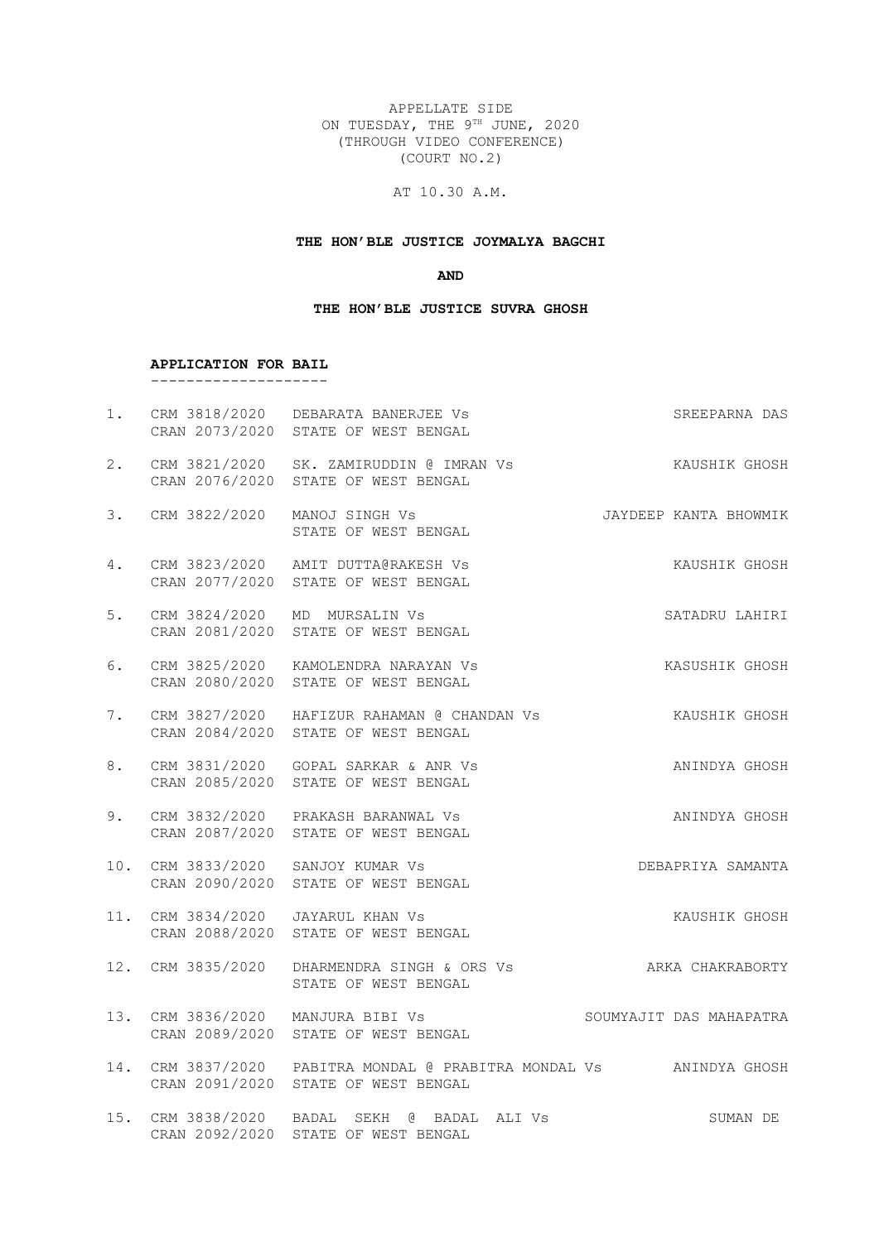APPELLATE SIDE ON TUESDAY, THE 9TH JUNE, 2020 (THROUGH VIDEO CONFERENCE) (COURT NO.2)

# AT 10.30 A.M.

## **THE HON'BLE JUSTICE JOYMALYA BAGCHI**

**AND**

#### **THE HON'BLE JUSTICE SUVRA GHOSH**

#### **APPLICATION FOR BAIL** --------------------

|    |                              | 1. CRM 3818/2020 DEBARATA BANERJEE Vs<br>CRAN 2073/2020 STATE OF WEST BENGAL                               | SREEPARNA DAS         |
|----|------------------------------|------------------------------------------------------------------------------------------------------------|-----------------------|
| 2. |                              | CRAN 2076/2020 STATE OF WEST BENGAL                                                                        |                       |
| 3. | CRM 3822/2020 MANOJ SINGH Vs | STATE OF WEST BENGAL                                                                                       | JAYDEEP KANTA BHOWMIK |
| 4. |                              | CRM 3823/2020 AMIT DUTTA@RAKESH Vs<br>CRAN 2077/2020 STATE OF WEST BENGAL                                  | KAUSHIK GHOSH         |
| 5. |                              | CRM 3824/2020 MD MURSALIN Vs<br>CRAN 2081/2020 STATE OF WEST BENGAL                                        | SATADRU LAHIRI        |
| 6. |                              | CRM 3825/2020 KAMOLENDRA NARAYAN VS<br>CRAN 2080/2020 STATE OF WEST BENGAL                                 | KASUSHIK GHOSH        |
| 7. |                              | CRM 3827/2020 HAFIZUR RAHAMAN @ CHANDAN Vs XAUSHIK GHOSH<br>CRAN 2084/2020 STATE OF WEST BENGAL            |                       |
| 8. |                              | CRM 3831/2020 GOPAL SARKAR & ANR Vs<br>CRAN 2085/2020 STATE OF WEST BENGAL                                 | ANINDYA GHOSH         |
| 9. |                              | CRM 3832/2020 PRAKASH BARANWAL Vs<br>CRAN 2087/2020 STATE OF WEST BENGAL                                   | ANINDYA GHOSH         |
|    |                              | 10. CRM 3833/2020 SANJOY KUMAR Vs<br>CRAN 2090/2020 STATE OF WEST BENGAL                                   | DEBAPRIYA SAMANTA     |
|    |                              | 11. CRM 3834/2020 JAYARUL KHAN Vs<br>CRAN 2088/2020 STATE OF WEST BENGAL                                   | KAUSHIK GHOSH         |
|    |                              | 12. CRM 3835/2020 DHARMENDRA SINGH & ORS Vs ARKA CHAKRABORTY<br>STATE OF WEST BENGAL                       |                       |
|    |                              | 13. CRM 3836/2020 MANJURA BIBI VS SOUMYAJIT DAS MAHAPATRA<br>CRAN 2089/2020 STATE OF WEST BENGAL           |                       |
|    |                              | 14. CRM 3837/2020 PABITRA MONDAL @ PRABITRA MONDAL Vs ANINDYA GHOSH<br>CRAN 2091/2020 STATE OF WEST BENGAL |                       |
|    |                              | 15. CRM 3838/2020 BADAL SEKH @ BADAL ALI Vs<br>CRAN 2092/2020 STATE OF WEST BENGAL                         | SUMAN DE              |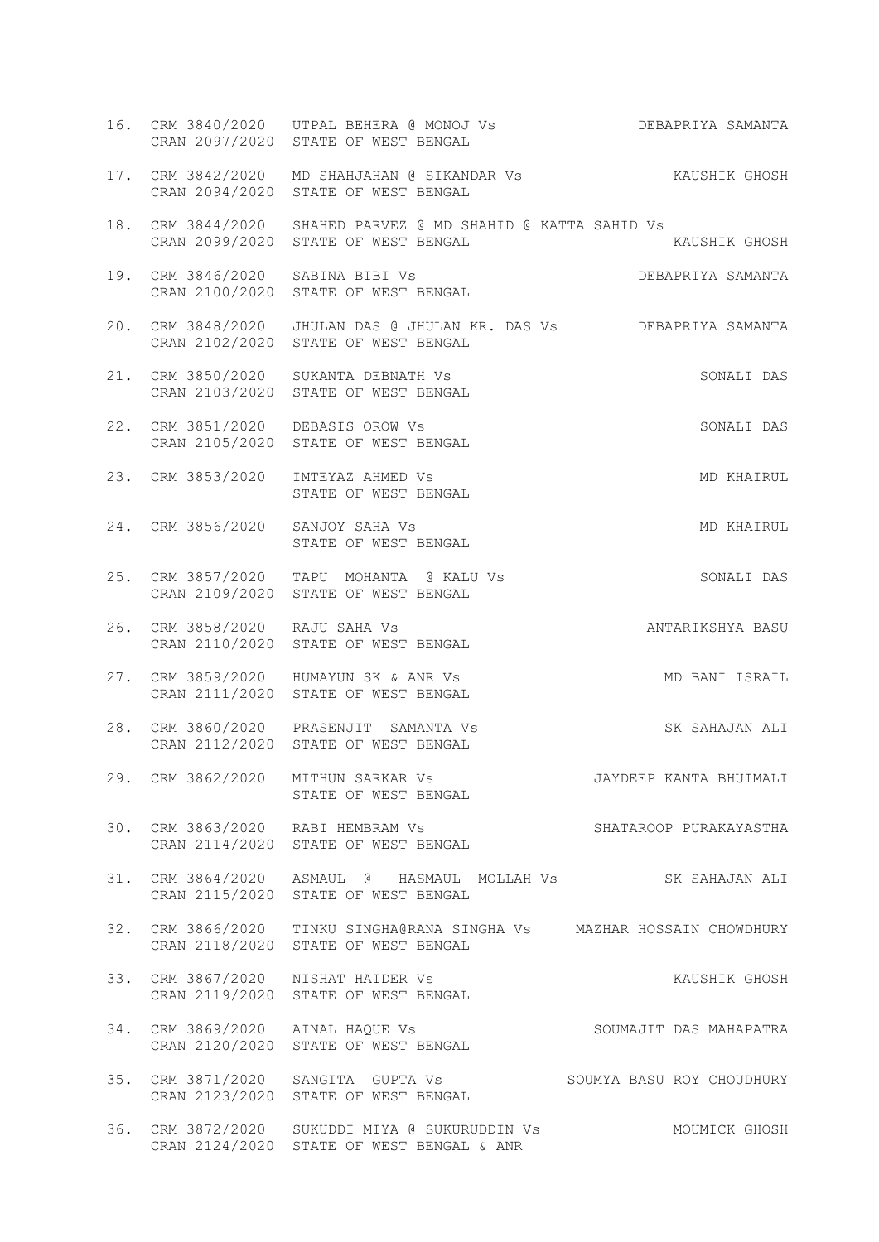|                                  | 16. CRM 3840/2020 UTPAL BEHERA @ MONOJ Vs<br>CRAN 2097/2020 STATE OF WEST BENGAL                              | DEBAPRIYA SAMANTA                  |
|----------------------------------|---------------------------------------------------------------------------------------------------------------|------------------------------------|
|                                  | 17. CRM 3842/2020 MD SHAHJAHAN @ SIKANDAR Vs SAUSHIK GHOSH<br>CRAN 2094/2020 STATE OF WEST BENGAL             |                                    |
|                                  | 18. CRM 3844/2020 SHAHED PARVEZ @ MD SHAHID @ KATTA SAHID Vs<br>CRAN 2099/2020 STATE OF WEST BENGAL           | KAUSHIK GHOSH                      |
| 19. CRM 3846/2020 SABINA BIBI Vs | CRAN 2100/2020 STATE OF WEST BENGAL                                                                           | <b>DEBAPRIYA SAMANTA</b><br>BENGAL |
|                                  | 20. CRM 3848/2020 JHULAN DAS @ JHULAN KR. DAS Vs DEBAPRIYA SAMANTA<br>CRAN 2102/2020 STATE OF WEST BENGAL     |                                    |
|                                  | 21. CRM 3850/2020 SUKANTA DEBNATH Vs<br>CRAN 2103/2020 STATE OF WEST BENGAL                                   | SONALI DAS                         |
|                                  | 22. CRM 3851/2020 DEBASIS OROW Vs<br>CRAN 2105/2020 STATE OF WEST BENGAL                                      | SONALI DAS                         |
|                                  | 23. CRM 3853/2020 IMTEYAZ AHMED Vs<br>STATE OF WEST BENGAL                                                    | MD KHAIRUL                         |
| 24. CRM 3856/2020 SANJOY SAHA Vs | STATE OF WEST BENGAL                                                                                          | MD KHAIRUL                         |
|                                  | 25. CRM 3857/2020 TAPU MOHANTA @ KALU Vs<br>CRAN 2109/2020 STATE OF WEST BENGAL                               | SONALI DAS                         |
| 26. CRM 3858/2020 RAJU SAHA Vs   | CRAN 2110/2020 STATE OF WEST BENGAL                                                                           | ANTARIKSHYA BASU                   |
|                                  | 27. CRM 3859/2020 HUMAYUN SK & ANR Vs<br>CRAN 2111/2020 STATE OF WEST BENGAL                                  | MD BANI ISRAIL                     |
|                                  | 28. CRM 3860/2020 PRASENJIT SAMANTA Vs<br>CRAN 2112/2020 STATE OF WEST BENGAL                                 | SK SAHAJAN ALI                     |
|                                  | 29. CRM 3862/2020 MITHUN SARKAR Vs JAYDEEP KANTA BHUIMALI<br>STATE OF WEST BENGAL                             |                                    |
|                                  | 30. CRM 3863/2020 RABI HEMBRAM Vs<br>CRAN 2114/2020 STATE OF WEST BENGAL                                      | SHATAROOP PURAKAYASTHA             |
|                                  | 31. CRM 3864/2020 ASMAUL @ HASMAUL MOLLAH Vs SK SAHAJAN ALI<br>CRAN 2115/2020 STATE OF WEST BENGAL            |                                    |
|                                  | 32. CRM 3866/2020 TINKU SINGHA@RANA SINGHA Vs MAZHAR HOSSAIN CHOWDHURY<br>CRAN 2118/2020 STATE OF WEST BENGAL |                                    |
|                                  | 33. CRM 3867/2020 NISHAT HAIDER Vs<br>CRAN 2119/2020 STATE OF WEST BENGAL                                     | KAUSHIK GHOSH                      |
|                                  | CRAN 2120/2020 STATE OF WEST BENGAL                                                                           | SOUMAJIT DAS MAHAPATRA             |
|                                  | 35. CRM 3871/2020 SANGITA GUPTA Vs SOUMYA BASU ROY CHOUDHURY<br>CRAN 2123/2020 STATE OF WEST BENGAL           |                                    |
|                                  | 36. CRM 3872/2020 SUKUDDI MIYA @ SUKURUDDIN Vs<br>CRAN 2124/2020 STATE OF WEST BENGAL & ANR                   | MOUMICK GHOSH                      |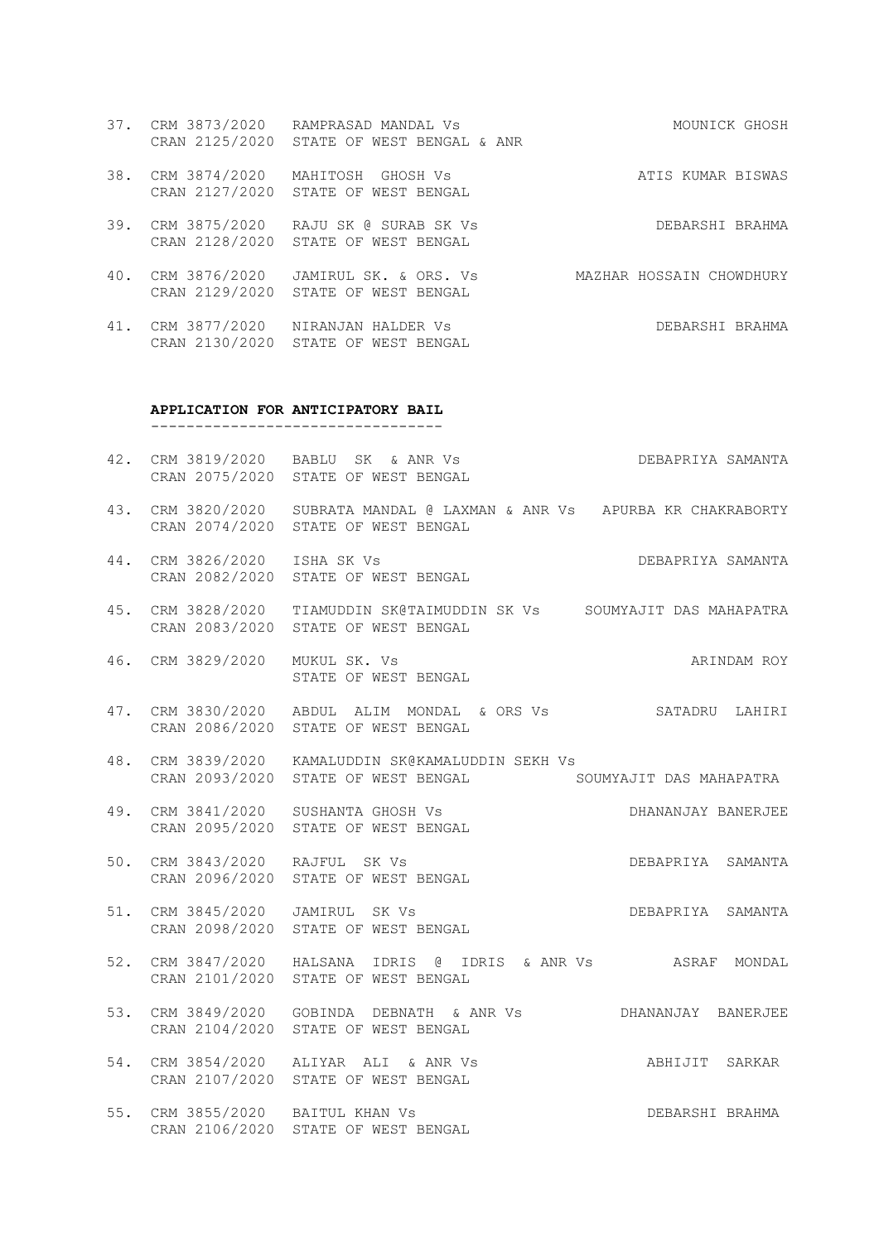- 37. CRM 3873/2020 RAMPRASAD MANDAL Vs MOUNICK GHOSH CRAN 2125/2020 STATE OF WEST BENGAL & ANR
- 38. CRM 3874/2020 MAHITOSH GHOSH Vs ATIS KUMAR BISWAS CRAN 2127/2020 STATE OF WEST BENGAL
- 39. CRM 3875/2020 RAJU SK @ SURAB SK Vs DEBARSHI BRAHMA CRAN 2128/2020 STATE OF WEST BENGAL
- 40. CRM 3876/2020 JAMIRUL SK. & ORS. Vs MAZHAR HOSSAIN CHOWDHURY CRAN 2129/2020 STATE OF WEST BENGAL
- 41. CRM 3877/2020 NIRANJAN HALDER Vs DEBARSHI BRAHMA CRAN 2130/2020 STATE OF WEST BENGAL

#### **APPLICATION FOR ANTICIPATORY BAIL**

---------------------------------

- 42. CRM 3819/2020 BABLU SK & ANR Vs DEBAPRIYA SAMANTA CRAN 2075/2020 STATE OF WEST BENGAL
- 43. CRM 3820/2020 SUBRATA MANDAL @ LAXMAN & ANR Vs APURBA KR CHAKRABORTY CRAN 2074/2020 STATE OF WEST BENGAL
- 44. CRM 3826/2020 ISHA SK Vs DEBAPRIYA SAMANTA CRAN 2082/2020 STATE OF WEST BENGAL
- 45. CRM 3828/2020 TIAMUDDIN SK@TAIMUDDIN SK Vs SOUMYAJIT DAS MAHAPATRA CRAN 2083/2020 STATE OF WEST BENGAL
- 46. CRM 3829/2020 MUKUL SK. Vs ARINDAM ROY STATE OF WEST BENGAL
- 47. CRM 3830/2020 ABDUL ALIM MONDAL & ORS Vs SATADRU LAHIRI CRAN 2086/2020 STATE OF WEST BENGAL
- 48. CRM 3839/2020 KAMALUDDIN SK@KAMALUDDIN SEKH Vs CRAN 2093/2020 STATE OF WEST BENGAL SOUMYAJIT DAS MAHAPATRA
- 49. CRM 3841/2020 SUSHANTA GHOSH Vs DHANANJAY BANERJEE CRAN 2095/2020 STATE OF WEST BENGAL
- 50. CRM 3843/2020 RAJFUL SK Vs DEBAPRIYA SAMANTA CRAN 2096/2020 STATE OF WEST BENGAL
- 51. CRM 3845/2020 JAMIRUL SK Vs **DEBAPRIYA** SAMANTA CRAN 2098/2020 STATE OF WEST BENGAL
- 52. CRM 3847/2020 HALSANA IDRIS @ IDRIS & ANR Vs ASRAF MONDAL CRAN 2101/2020 STATE OF WEST BENGAL
- 53. CRM 3849/2020 GOBINDA DEBNATH & ANR Vs DHANANJAY BANERJEE CRAN 2104/2020 STATE OF WEST BENGAL
- 54. CRM 3854/2020 ALIYAR ALI & ANR Vs ABHIJIT SARKAR CRAN 2107/2020 STATE OF WEST BENGAL
- 55. CRM 3855/2020 BAITUL KHAN Vs **DEBARSHI BRAHMA** CRAN 2106/2020 STATE OF WEST BENGAL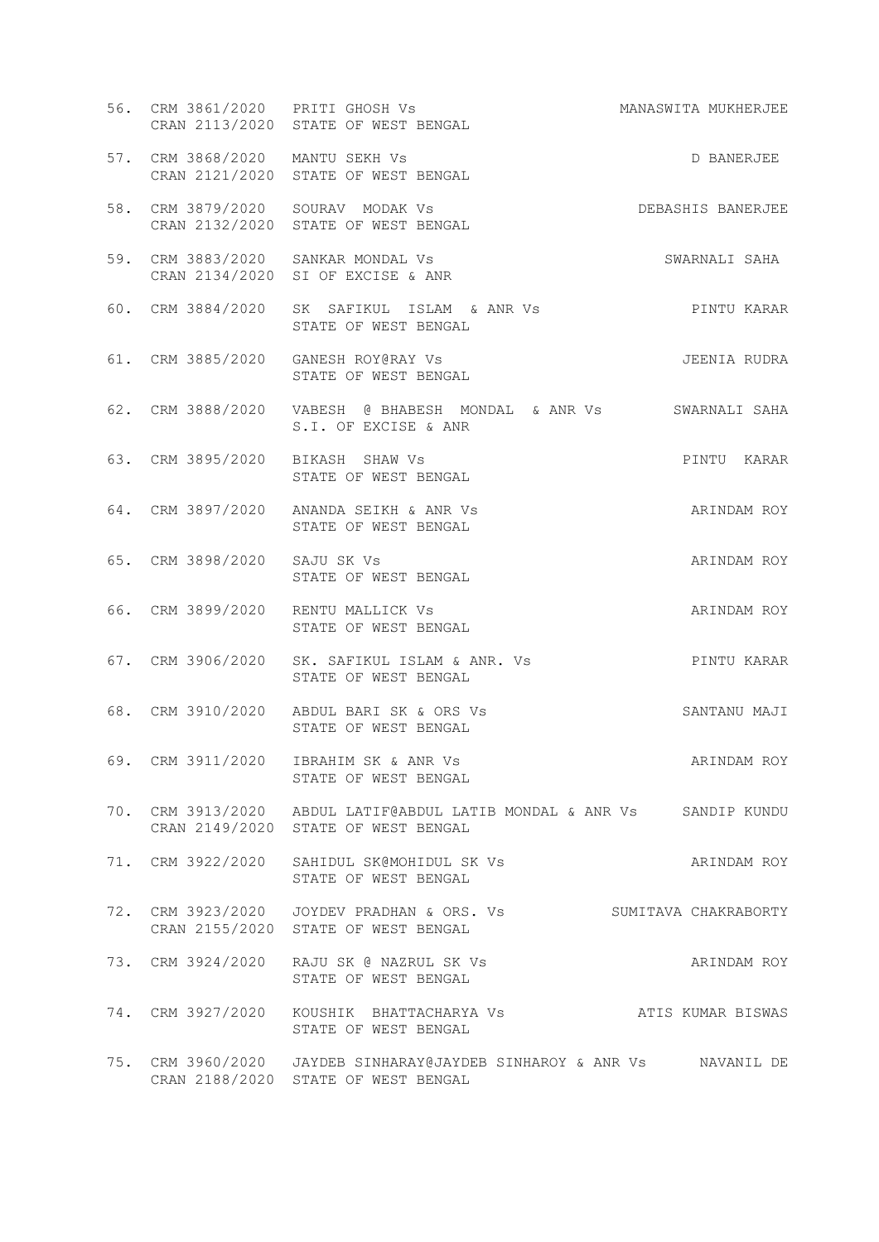| 56. CRM 3861/2020 PRITI GHOSH Vs | CRAN 2113/2020 STATE OF WEST BENGAL                                                                           | MANASWITA MUKHERJEE |
|----------------------------------|---------------------------------------------------------------------------------------------------------------|---------------------|
| 57. CRM 3868/2020 MANTU SEKH Vs  | CRAN 2121/2020 STATE OF WEST BENGAL                                                                           | D BANERJEE          |
|                                  | 58. CRM 3879/2020  SOURAV  MODAK Vs<br>CRAN 2132/2020 STATE OF WEST BENGAL                                    | DEBASHIS BANERJEE   |
|                                  | 59. CRM 3883/2020 SANKAR MONDAL Vs<br>CRAN 2134/2020 SI OF EXCISE & ANR                                       | SWARNALI SAHA       |
|                                  | 60. CRM 3884/2020 SK SAFIKUL ISLAM & ANR Vs<br>STATE OF WEST BENGAL                                           | PINTU KARAR         |
|                                  | 61. CRM 3885/2020 GANESH ROY@RAY Vs<br>STATE OF WEST BENGAL                                                   | JEENIA RUDRA        |
|                                  | S.I. OF EXCISE & ANR                                                                                          |                     |
|                                  | 63. CRM 3895/2020 BIKASH SHAW Vs<br>STATE OF WEST BENGAL                                                      | PINTU KARAR         |
|                                  | 64. CRM 3897/2020 ANANDA SEIKH & ANR Vs<br>STATE OF WEST BENGAL                                               | ARINDAM ROY         |
| 65. CRM 3898/2020 SAJU SK Vs     | STATE OF WEST BENGAL                                                                                          | ARINDAM ROY         |
|                                  | 66. CRM 3899/2020 RENTU MALLICK Vs<br>STATE OF WEST BENGAL                                                    | ARINDAM ROY         |
|                                  | 67. CRM 3906/2020 SK. SAFIKUL ISLAM & ANR. Vs<br>STATE OF WEST BENGAL                                         | PINTU KARAR         |
|                                  | 68. CRM 3910/2020 ABDUL BARI SK & ORS Vs<br>STATE OF WEST BENGAL                                              | SANTANU MAJI        |
|                                  | 69. CRM 3911/2020 IBRAHIM SK & ANR Vs<br>STATE OF WEST BENGAL                                                 | ARINDAM ROY         |
|                                  | 70. CRM 3913/2020 ABDUL LATIF@ABDUL LATIB MONDAL & ANR Vs SANDIP KUNDU<br>CRAN 2149/2020 STATE OF WEST BENGAL |                     |
|                                  | 71. CRM 3922/2020 SAHIDUL SK@MOHIDUL SK Vs<br>STATE OF WEST BENGAL                                            | ARINDAM ROY         |
|                                  | 72. CRM 3923/2020  JOYDEV PRADHAN & ORS. Vs  SUMITAVA CHAKRABORTY<br>CRAN 2155/2020 STATE OF WEST BENGAL      |                     |
|                                  | 73. CRM 3924/2020 RAJU SK @ NAZRUL SK Vs<br>STATE OF WEST BENGAL                                              | ARINDAM ROY         |
|                                  | 74. CRM 3927/2020 KOUSHIK BHATTACHARYA Vs ATIS KUMAR BISWAS<br>STATE OF WEST BENGAL                           |                     |
|                                  | 75. CRM 3960/2020 JAYDEB SINHARAY@JAYDEB SINHAROY & ANR Vs MAVANIL DE<br>CRAN 2188/2020 STATE OF WEST BENGAL  |                     |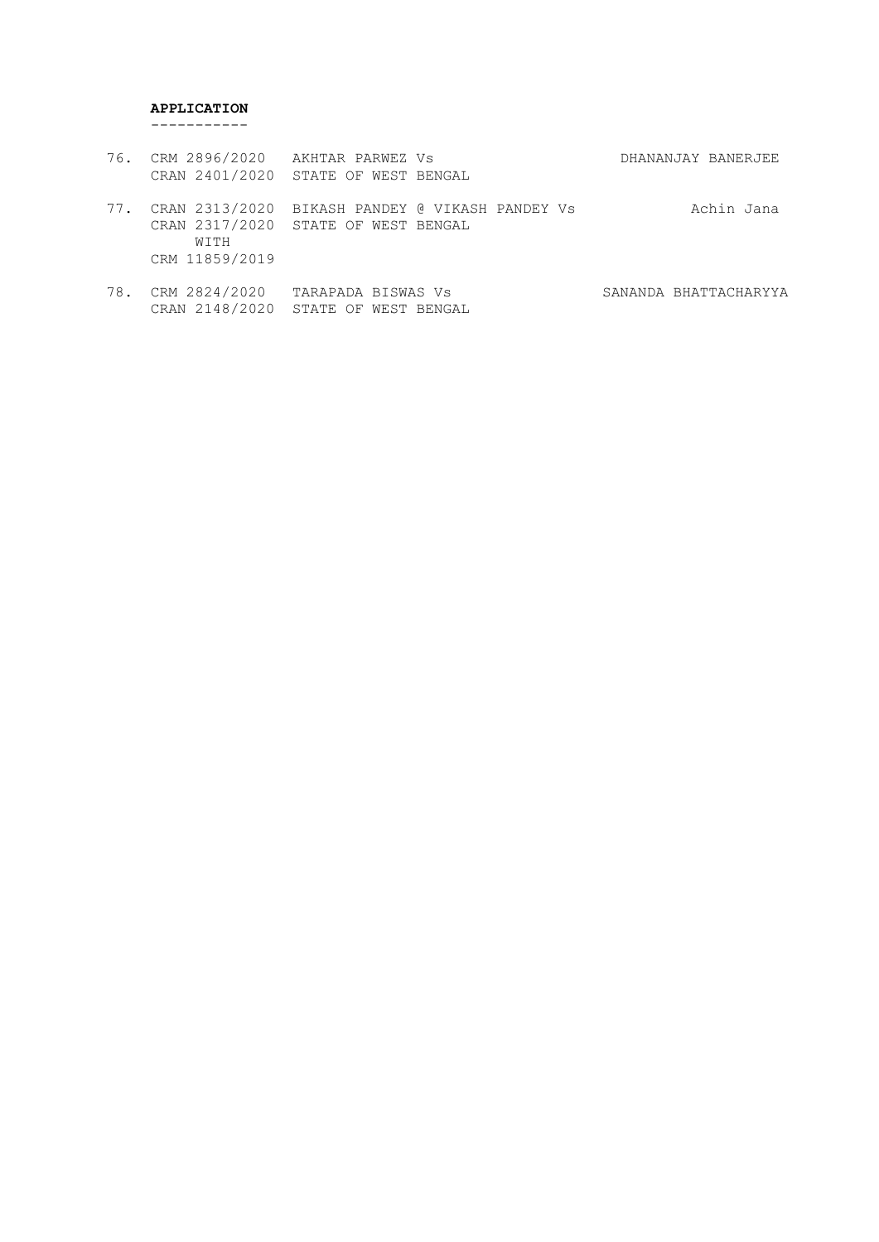# **APPLICATION**

-----------

| 76. | CRM 2896/2020 AKHTAR PARWEZ Vs<br>CRAN 2401/2020 STATE OF WEST BENGAL |                                                 | DHANANJAY BANERJEE |
|-----|-----------------------------------------------------------------------|-------------------------------------------------|--------------------|
| 77. | CRAN 2317/2020 STATE OF WEST BENGAL<br>WITH<br>CRM 11859/2019         | CRAN 2313/2020 BIKASH PANDEY @ VIKASH PANDEY Vs | Achin Jana         |

78. CRM 2824/2020 TARAPADA BISWAS Vs SANANDA BHATTACHARYYA CRAN 2148/2020 STATE OF WEST BENGAL